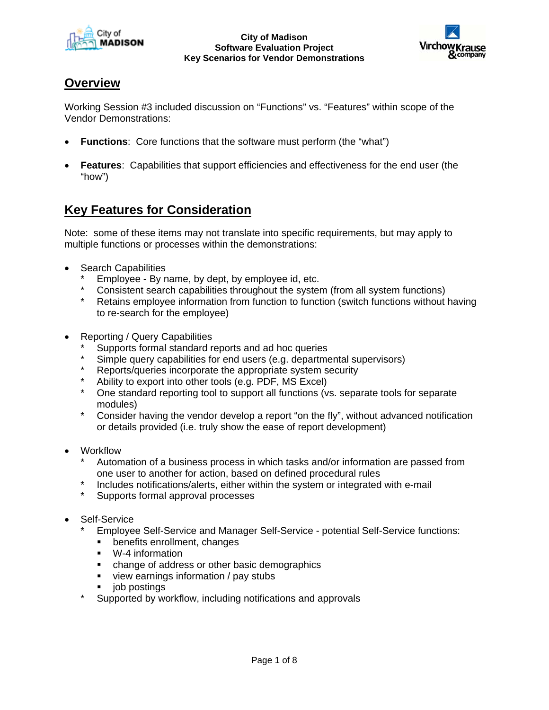



# **Overview**

Working Session #3 included discussion on "Functions" vs. "Features" within scope of the Vendor Demonstrations:

- **Functions**: Core functions that the software must perform (the "what")
- **Features**: Capabilities that support efficiencies and effectiveness for the end user (the "how")

# **Key Features for Consideration**

Note: some of these items may not translate into specific requirements, but may apply to multiple functions or processes within the demonstrations:

- Search Capabilities
	- Employee By name, by dept, by employee id, etc.
	- \* Consistent search capabilities throughout the system (from all system functions)<br>\* Retains employee information from function to function (switch functions without)
	- Retains employee information from function to function (switch functions without having to re-search for the employee)
- Reporting / Query Capabilities
	- Supports formal standard reports and ad hoc queries
	- \* Simple query capabilities for end users (e.g. departmental supervisors)
	- Reports/queries incorporate the appropriate system security
	- \* Ability to export into other tools (e.g. PDF, MS Excel)
	- One standard reporting tool to support all functions (vs. separate tools for separate modules)
	- Consider having the vendor develop a report "on the fly", without advanced notification or details provided (i.e. truly show the ease of report development)
- Workflow
	- Automation of a business process in which tasks and/or information are passed from one user to another for action, based on defined procedural rules
	- Includes notifications/alerts, either within the system or integrated with e-mail
	- \* Supports formal approval processes
- Self-Service
	- \* Employee Self-Service and Manager Self-Service potential Self-Service functions:
		- **•** benefits enrollment, changes
		- W-4 information
		- change of address or other basic demographics
		- view earnings information / pay stubs
		- job postings
	- \* Supported by workflow, including notifications and approvals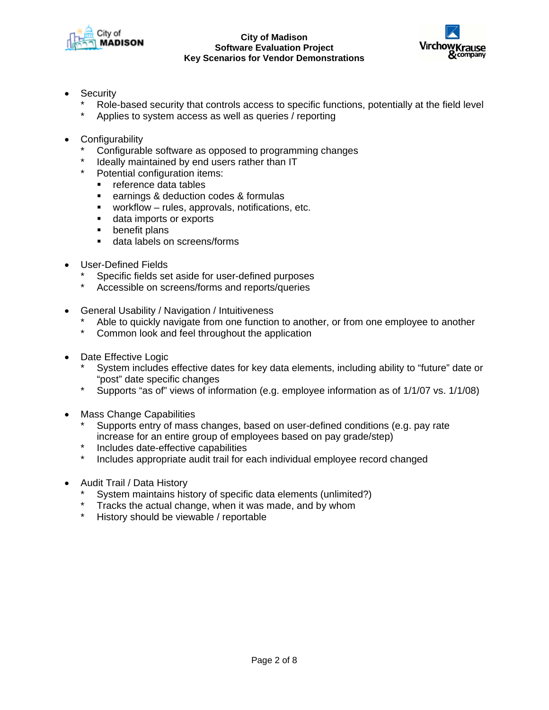



- **Security** 
	- Role-based security that controls access to specific functions, potentially at the field level
	- Applies to system access as well as queries / reporting
- **Configurability** 
	- Configurable software as opposed to programming changes
	- Ideally maintained by end users rather than IT
	- Potential configuration items:
		- **F** reference data tables
		- earnings & deduction codes & formulas
		- workflow rules, approvals, notifications, etc.
		- **data imports or exports**
		- **benefit plans**
		- data labels on screens/forms
- User-Defined Fields
	- \* Specific fields set aside for user-defined purposes
	- Accessible on screens/forms and reports/queries
- General Usability / Navigation / Intuitiveness
	- Able to quickly navigate from one function to another, or from one employee to another
	- Common look and feel throughout the application
- Date Effective Logic
	- System includes effective dates for key data elements, including ability to "future" date or "post" date specific changes
	- \* Supports "as of" views of information (e.g. employee information as of 1/1/07 vs. 1/1/08)
- Mass Change Capabilities
	- Supports entry of mass changes, based on user-defined conditions (e.g. pay rate increase for an entire group of employees based on pay grade/step)
	- Includes date-effective capabilities
	- Includes appropriate audit trail for each individual employee record changed
- Audit Trail / Data History
	- System maintains history of specific data elements (unlimited?)
	- Tracks the actual change, when it was made, and by whom
	- \* History should be viewable / reportable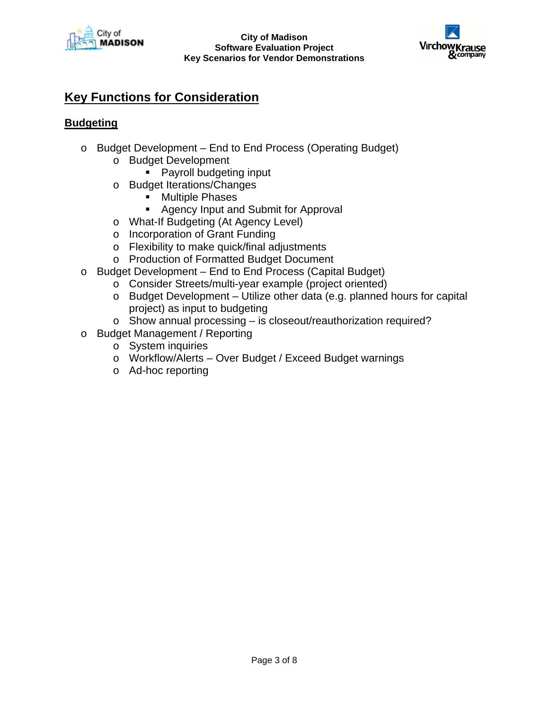



# **Key Functions for Consideration**

### **Budgeting**

- o Budget Development End to End Process (Operating Budget)
	- o Budget Development
		- **Payroll budgeting input**
	- o Budget Iterations/Changes
		- Multiple Phases
		- **Agency Input and Submit for Approval**
	- o What-If Budgeting (At Agency Level)
	- o Incorporation of Grant Funding
	- o Flexibility to make quick/final adjustments
	- o Production of Formatted Budget Document
- o Budget Development End to End Process (Capital Budget)
	- o Consider Streets/multi-year example (project oriented)
	- o Budget Development Utilize other data (e.g. planned hours for capital project) as input to budgeting
	- o Show annual processing is closeout/reauthorization required?
- o Budget Management / Reporting
	- o System inquiries
	- o Workflow/Alerts Over Budget / Exceed Budget warnings
	- o Ad-hoc reporting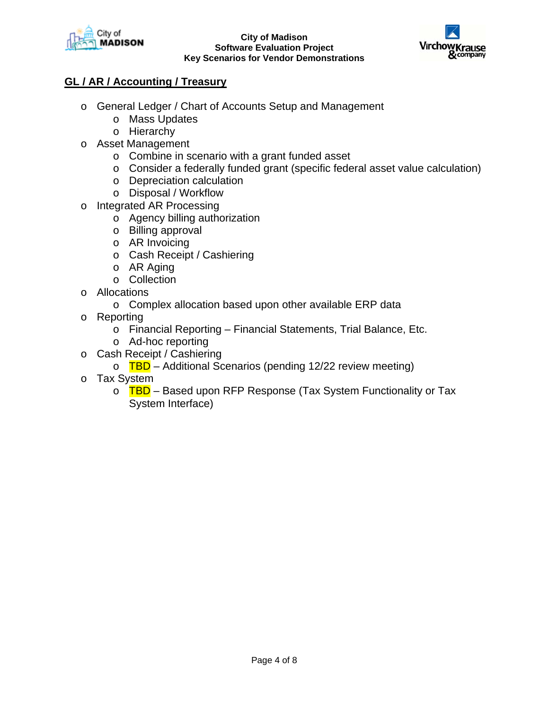



## **GL / AR / Accounting / Treasury**

- o General Ledger / Chart of Accounts Setup and Management
	- o Mass Updates
	- o Hierarchy
- o Asset Management
	- o Combine in scenario with a grant funded asset
	- o Consider a federally funded grant (specific federal asset value calculation)
	- o Depreciation calculation
	- o Disposal / Workflow
- o Integrated AR Processing
	- o Agency billing authorization
	- o Billing approval
	- o AR Invoicing
	- o Cash Receipt / Cashiering
	- o AR Aging
	- o Collection
- o Allocations
	- o Complex allocation based upon other available ERP data
- o Reporting
	- o Financial Reporting Financial Statements, Trial Balance, Etc.
	- o Ad-hoc reporting
- o Cash Receipt / Cashiering
	- $\circ$  TBD Additional Scenarios (pending 12/22 review meeting)
- o Tax System
	- o TBD Based upon RFP Response (Tax System Functionality or Tax System Interface)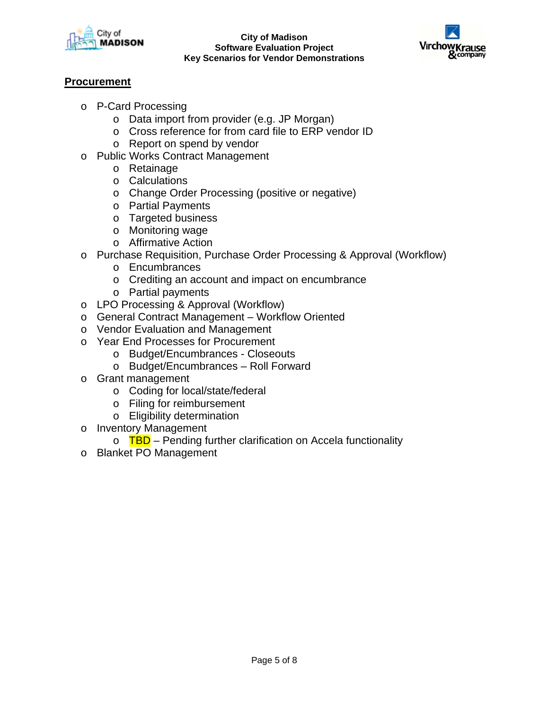



### **Procurement**

- o P-Card Processing
	- o Data import from provider (e.g. JP Morgan)
	- o Cross reference for from card file to ERP vendor ID
	- o Report on spend by vendor
- o Public Works Contract Management
	- o Retainage
	- o Calculations
	- o Change Order Processing (positive or negative)
	- o Partial Payments
	- o Targeted business
	- o Monitoring wage
	- o Affirmative Action
- o Purchase Requisition, Purchase Order Processing & Approval (Workflow)
	- o Encumbrances
	- o Crediting an account and impact on encumbrance
	- o Partial payments
- o LPO Processing & Approval (Workflow)
- o General Contract Management Workflow Oriented
- o Vendor Evaluation and Management
- o Year End Processes for Procurement
	- o Budget/Encumbrances Closeouts
	- o Budget/Encumbrances Roll Forward
- o Grant management
	- o Coding for local/state/federal
	- o Filing for reimbursement
	- o Eligibility determination
- o Inventory Management
	- o TBD Pending further clarification on Accela functionality
- o Blanket PO Management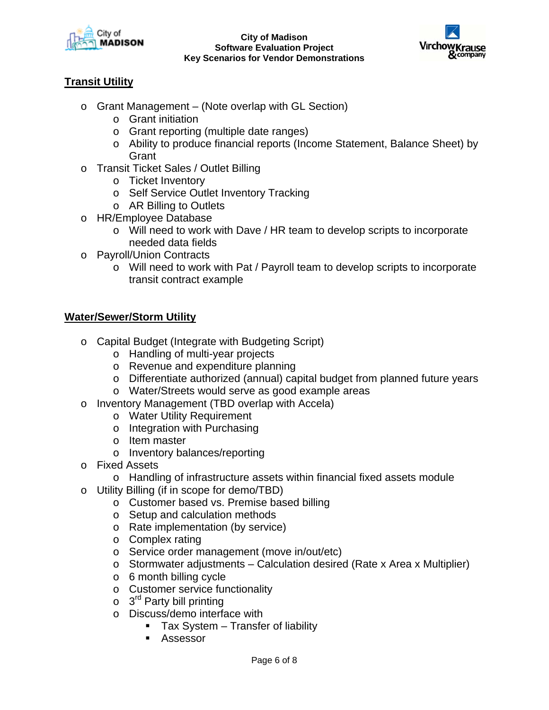



## **Transit Utility**

- o Grant Management (Note overlap with GL Section)
	- o Grant initiation
	- o Grant reporting (multiple date ranges)
	- o Ability to produce financial reports (Income Statement, Balance Sheet) by Grant
- o Transit Ticket Sales / Outlet Billing
	- o Ticket Inventory
	- o Self Service Outlet Inventory Tracking
	- o AR Billing to Outlets
- o HR/Employee Database
	- o Will need to work with Dave / HR team to develop scripts to incorporate needed data fields
- o Payroll/Union Contracts
	- o Will need to work with Pat / Payroll team to develop scripts to incorporate transit contract example

### **Water/Sewer/Storm Utility**

- o Capital Budget (Integrate with Budgeting Script)
	- o Handling of multi-year projects
	- o Revenue and expenditure planning
	- o Differentiate authorized (annual) capital budget from planned future years
	- o Water/Streets would serve as good example areas
- o Inventory Management (TBD overlap with Accela)
	- o Water Utility Requirement
	- o Integration with Purchasing
	- o Item master
	- o Inventory balances/reporting
- o Fixed Assets
	- o Handling of infrastructure assets within financial fixed assets module
- o Utility Billing (if in scope for demo/TBD)
	- o Customer based vs. Premise based billing
	- o Setup and calculation methods
	- o Rate implementation (by service)
	- o Complex rating
	- o Service order management (move in/out/etc)
	- $\circ$  Stormwater adjustments Calculation desired (Rate x Area x Multiplier)
	- o 6 month billing cycle
	- o Customer service functionality
	- $\circ$  3<sup>rd</sup> Party bill printing
	- o Discuss/demo interface with
		- $\blacksquare$  Tax System Transfer of liability
		- **Assessor**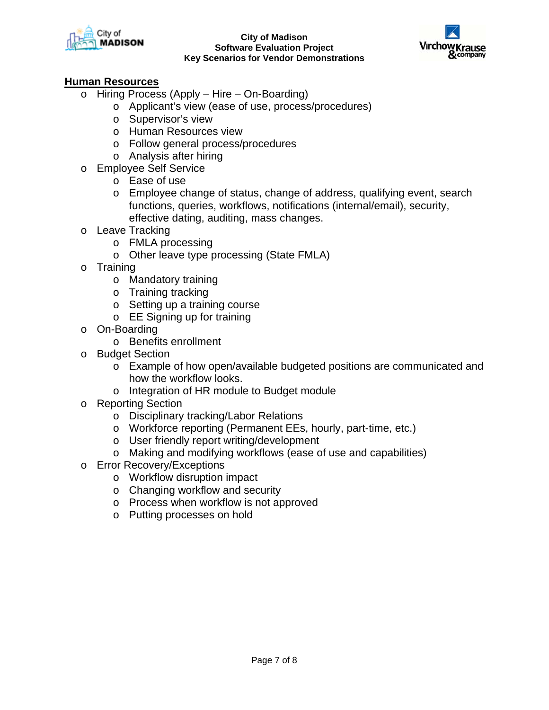



### **Human Resources**

- o Hiring Process (Apply Hire On-Boarding)
	- o Applicant's view (ease of use, process/procedures)
	- o Supervisor's view
	- o Human Resources view
	- o Follow general process/procedures
	- o Analysis after hiring
- o Employee Self Service
	- o Ease of use
	- o Employee change of status, change of address, qualifying event, search functions, queries, workflows, notifications (internal/email), security, effective dating, auditing, mass changes.
- o Leave Tracking
	- o FMLA processing
	- o Other leave type processing (State FMLA)
- o Training
	- o Mandatory training
	- o Training tracking
	- o Setting up a training course
	- o EE Signing up for training
- o On-Boarding
	- o Benefits enrollment
- o Budget Section
	- o Example of how open/available budgeted positions are communicated and how the workflow looks.
	- o Integration of HR module to Budget module
- o Reporting Section
	- o Disciplinary tracking/Labor Relations
	- o Workforce reporting (Permanent EEs, hourly, part-time, etc.)
	- o User friendly report writing/development
	- o Making and modifying workflows (ease of use and capabilities)
- o Error Recovery/Exceptions
	- o Workflow disruption impact
	- o Changing workflow and security
	- o Process when workflow is not approved
	- o Putting processes on hold